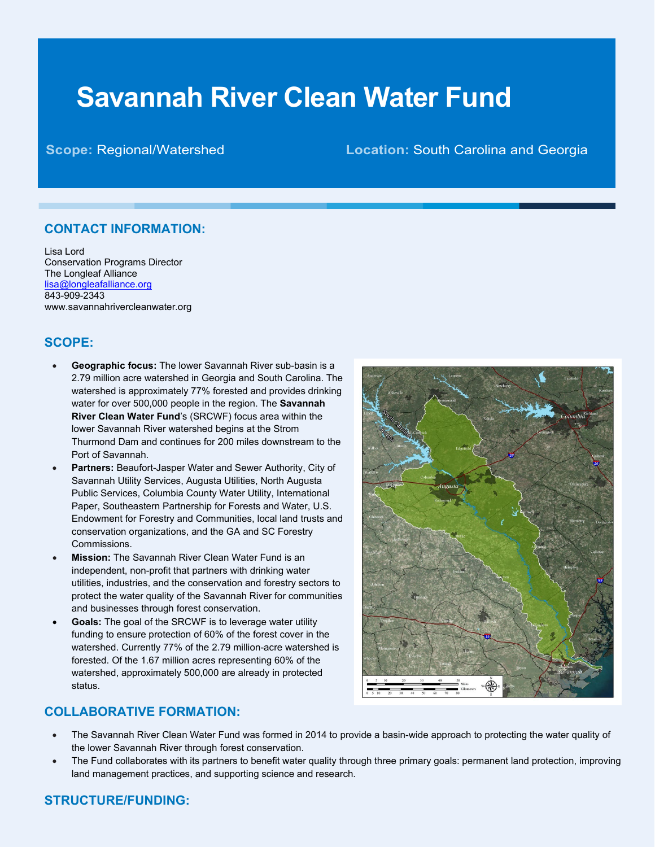# **Savannah River Clean Water Fund**

# **Scope:** Regional/Watershed **Location:** South Carolina and Georgia

# **CONTACT INFORMATION:**

Lisa Lord Conservation Programs Director The Longleaf Alliance [lisa@longleafalliance.org](mailto:lisa@longleafalliance.org) 843-909-2343 www.savannahrivercleanwater.org

# **SCOPE:**

- **Geographic focus:** The lower Savannah River sub-basin is a 2.79 million acre watershed in Georgia and South Carolina. The watershed is approximately 77% forested and provides drinking water for over 500,000 people in the region. The **Savannah River Clean Water Fund**'s (SRCWF) focus area within the lower Savannah River watershed begins at the Strom Thurmond Dam and continues for 200 miles downstream to the Port of Savannah.
- **Partners:** Beaufort-Jasper Water and Sewer Authority, City of Savannah Utility Services, Augusta Utilities, North Augusta Public Services, Columbia County Water Utility, International Paper, Southeastern Partnership for Forests and Water, U.S. Endowment for Forestry and Communities, local land trusts and conservation organizations, and the GA and SC Forestry Commissions.
- **Mission:** The Savannah River Clean Water Fund is an independent, non-profit that partners with drinking water utilities, industries, and the conservation and forestry sectors to protect the water quality of the Savannah River for communities and businesses through forest conservation.
- **Goals:** The goal of the SRCWF is to leverage water utility funding to ensure protection of 60% of the forest cover in the watershed. Currently 77% of the 2.79 million-acre watershed is forested. Of the 1.67 million acres representing 60% of the watershed, approximately 500,000 are already in protected status.



#### **COLLABORATIVE FORMATION:**

- The Savannah River Clean Water Fund was formed in 2014 to provide a basin-wide approach to protecting the water quality of the lower Savannah River through forest conservation.
- The Fund collaborates with its partners to benefit water quality through three primary goals: permanent land protection, improving land management practices, and supporting science and research.

# **STRUCTURE/FUNDING:**